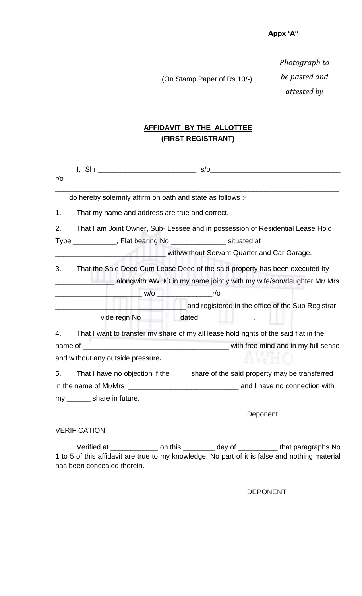(On Stamp Paper of Rs 10/-)

*Photograph to be pasted and attested by* 

*notary*

# **AFFIDAVIT BY THE ALLOTTEE (FIRST REGISTRANT)**

| $r/\circ$ |                                                                               |                                                                                      |  |  |  |  |
|-----------|-------------------------------------------------------------------------------|--------------------------------------------------------------------------------------|--|--|--|--|
|           | do hereby solemnly affirm on oath and state as follows :-                     |                                                                                      |  |  |  |  |
| 1.        | That my name and address are true and correct.                                |                                                                                      |  |  |  |  |
| 2.        | That I am Joint Owner, Sub-Lessee and in possession of Residential Lease Hold |                                                                                      |  |  |  |  |
|           | Type ____________, Flat bearing No _________________ situated at              |                                                                                      |  |  |  |  |
|           |                                                                               | with/without Servant Quarter and Car Garage.                                         |  |  |  |  |
| 3.        |                                                                               | That the Sale Deed Cum Lease Deed of the said property has been executed by          |  |  |  |  |
|           | alongwith AWHO in my name jointly with my wife/son/daughter Mr/ Mrs           |                                                                                      |  |  |  |  |
|           |                                                                               |                                                                                      |  |  |  |  |
|           |                                                                               | and registered in the office of the Sub Registrar,                                   |  |  |  |  |
|           | ________________ vide regn No ___________ dated________________.              |                                                                                      |  |  |  |  |
| 4.        |                                                                               | That I want to transfer my share of my all lease hold rights of the said flat in the |  |  |  |  |
|           |                                                                               |                                                                                      |  |  |  |  |
|           | and without any outside pressure.                                             |                                                                                      |  |  |  |  |
| 5.        |                                                                               | That I have no objection if the ______ share of the said property may be transferred |  |  |  |  |
|           |                                                                               |                                                                                      |  |  |  |  |
|           | my ________ share in future.                                                  |                                                                                      |  |  |  |  |
|           |                                                                               | Deponent                                                                             |  |  |  |  |

### VERIFICATION

Verified at \_\_\_\_\_\_\_\_\_\_\_\_\_\_\_ on this \_\_\_\_\_\_\_\_\_ day of \_\_\_\_\_\_\_\_\_\_ that paragraphs No 1 to 5 of this affidavit are true to my knowledge. No part of it is false and nothing material has been concealed therein.

DEPONENT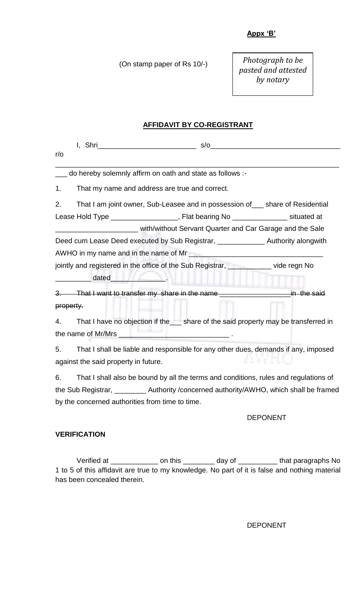(On stamp paper of Rs 10/-)

*Photograph to be pasted and attested by notary*

## **AFFIDAVIT BY CO-REGISTRANT**

| $r/\sigma$                                                                                 |                                                                                                                |  |  |  |  |  |  |
|--------------------------------------------------------------------------------------------|----------------------------------------------------------------------------------------------------------------|--|--|--|--|--|--|
| do hereby solemnly affirm on oath and state as follows :-                                  |                                                                                                                |  |  |  |  |  |  |
| 1.                                                                                         | That my name and address are true and correct.                                                                 |  |  |  |  |  |  |
| 2.                                                                                         | That I am joint owner, Sub-Leasee and in possession of share of Residential                                    |  |  |  |  |  |  |
|                                                                                            | Lease Hold Type ____________________, Flat bearing No ________________ situated at                             |  |  |  |  |  |  |
| with/without Servant Quarter and Car Garage and the Sale                                   |                                                                                                                |  |  |  |  |  |  |
| Deed cum Lease Deed executed by Sub Registrar, _______________________ Authority alongwith |                                                                                                                |  |  |  |  |  |  |
|                                                                                            |                                                                                                                |  |  |  |  |  |  |
| jointly and registered in the office of the Sub Registrar, will be vide regn No            |                                                                                                                |  |  |  |  |  |  |
|                                                                                            | dated and the state of the state of the state of the state of the state of the state of the state of the state |  |  |  |  |  |  |
|                                                                                            | 3. That I want to transfer my share in the name _________________________________ in the said                  |  |  |  |  |  |  |
| property.                                                                                  |                                                                                                                |  |  |  |  |  |  |
| 4.                                                                                         | That I have no objection if the___ share of the said property may be transferred in                            |  |  |  |  |  |  |
|                                                                                            |                                                                                                                |  |  |  |  |  |  |

5. That I shall be liable and responsible for any other dues, demands if any, imposed against the said property in future.

6. That I shall also be bound by all the terms and conditions, rules and regulations of the Sub Registrar, \_\_\_\_\_\_\_\_ Authority /concerned authority/AWHO, which shall be framed by the concerned authorities from time to time.

#### DEPONENT

#### **VERIFICATION**

Verified at \_\_\_\_\_\_\_\_\_\_\_\_\_\_\_\_ on this \_\_\_\_\_\_\_\_\_ day of \_\_\_\_\_\_\_\_\_\_\_ that paragraphs No 1 to 5 of this affidavit are true to my knowledge. No part of it is false and nothing material has been concealed therein.

DEPONENT